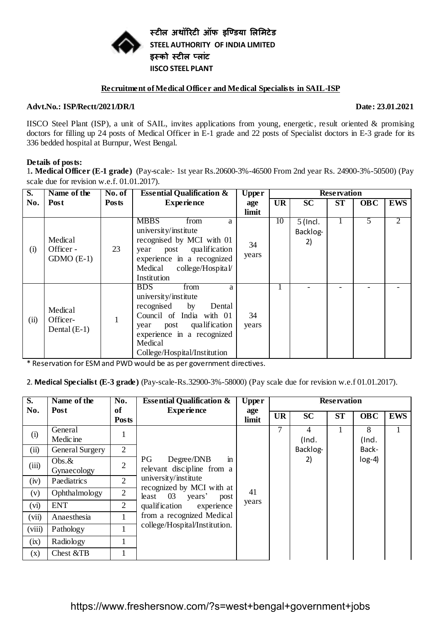

**स्टील अथॉरिटी ऑफ इण्डिया लललिटेि STEEL AUTHORITY OF INDIA LIMITED इस्को स्टील पलाांट IISCO STEEL PLANT**

#### **Recruitment of Medical Officer and Medical Specialists in SAIL-ISP**

#### **Advt.No.: ISP/Rectt/2021/DR/1 Date: 23.01.2021**

IISCO Steel Plant (ISP), a unit of SAIL, invites applications from young, energetic, result oriented & promising doctors for filling up 24 posts of Medical Officer in E-1 grade and 22 posts of Specialist doctors in E-3 grade for its 336 bedded hospital at Burnpur, West Bengal.

## **Details of posts:**

1**. Medical Officer (E-1 grade)** (Pay-scale:- 1st year Rs.20600-3%-46500 From 2nd year Rs. 24900-3%-50500) (Pay scale due for revision w.e.f. 01.01.2017).

| S.   | Name of the<br>No. of<br><b>Essential Qualification &amp;</b><br><b>Upper</b> |              |                                                                                                                                                                                                               | <b>Reservation</b> |           |                              |           |            |                |
|------|-------------------------------------------------------------------------------|--------------|---------------------------------------------------------------------------------------------------------------------------------------------------------------------------------------------------------------|--------------------|-----------|------------------------------|-----------|------------|----------------|
| No.  | Post                                                                          | <b>Posts</b> | <b>Experience</b>                                                                                                                                                                                             | age                | <b>UR</b> | <b>SC</b>                    | <b>ST</b> | <b>OBC</b> | <b>EWS</b>     |
|      |                                                                               |              |                                                                                                                                                                                                               | limit              |           |                              |           |            |                |
| (i)  | Medical<br>Officer -<br>$GDMO$ $(E-1)$                                        | 23           | <b>MBBS</b><br>from<br>a<br>university/institute<br>recognised by MCI with 01<br>post qualification<br>year<br>experience in a recognized<br>college/Hospital/<br>Medical<br>Institution                      | 34<br>years        | 10        | $5$ (Incl.<br>Backlog-<br>2) |           | 5          | $\overline{2}$ |
| (ii) | Medical<br>Officer-<br>Dental $(E-1)$                                         |              | from<br><b>BDS</b><br>a<br>university/institute<br>recognised<br>by<br>Dental<br>Council of India with 01<br>year post qualification<br>experience in a recognized<br>Medical<br>College/Hospital/Institution | 34<br>years        |           |                              |           |            |                |

\* Reservation for ESM and PWD would be as per government directives.

2. **Medical Specialist (E-3 grade)** (Pay-scale-Rs.32900-3%-58000) (Pay scale due for revision w.e.f 01.01.2017).

| $\overline{\mathbf{S}}$ . | Name of the              | No.                       | <b>Essential Qualification &amp;</b>                      | <b>Upper</b> | <b>Reservation</b> |           |           |            |            |
|---------------------------|--------------------------|---------------------------|-----------------------------------------------------------|--------------|--------------------|-----------|-----------|------------|------------|
| No.                       | Post                     | <b>of</b><br><b>Posts</b> | <b>Experience</b>                                         | age<br>limit | <b>UR</b>          | <b>SC</b> | <b>ST</b> | <b>OBC</b> | <b>EWS</b> |
| (i)                       | General<br>Medic ine     |                           |                                                           |              | 7                  | (Ind.     |           | 8<br>(Ind. |            |
| (ii)                      | General Surgery          | 2                         |                                                           |              |                    | Backlog-  |           | Back-      |            |
| (iii)                     | Obs. $\&$<br>Gynaecology | $\overline{2}$            | in<br>PG<br>Degree/DNB<br>relevant discipline from a      |              |                    | 2)        |           | $log-4$ )  |            |
| (iv)                      | Paediatrics              | $\overline{2}$            | university/institute                                      |              |                    |           |           |            |            |
| (v)                       | Ophthalmology            | $\overline{2}$            | recognized by MCI with at<br>least $03$<br>years'<br>post | 41           |                    |           |           |            |            |
| (vi)                      | <b>ENT</b>               | $\overline{2}$            | qualification experience                                  | years        |                    |           |           |            |            |
| (vii)                     | Anaesthesia              | 1                         | from a recognized Medical                                 |              |                    |           |           |            |            |
| (viii)                    | Pathology                |                           | college/Hospital/Institution.                             |              |                    |           |           |            |            |
| (ix)                      | Radiology                |                           |                                                           |              |                    |           |           |            |            |
| (x)                       | Chest &TB                |                           |                                                           |              |                    |           |           |            |            |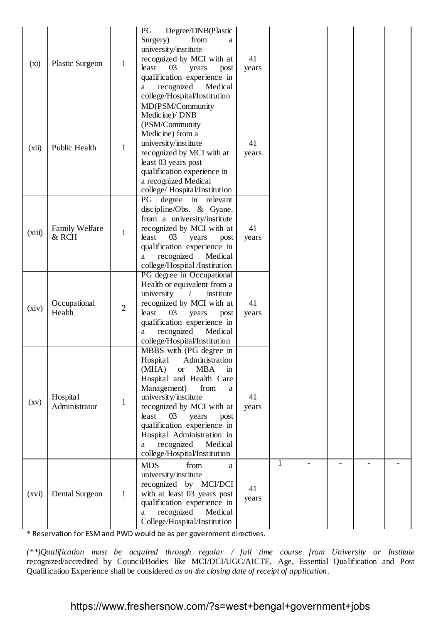| (xi)               | <b>Plastic Surgeon</b>         | $\mathbf{1}$   | Degree/DNB(Plastic<br>PG<br>from<br>Surgery)<br>a<br>university/institute<br>recognized by MCI with at<br>least<br>03<br>years<br>post<br>qualification experience in<br>recognized<br>Medical<br>a<br>college/Hospital/Institution                                                                                                                                     | 41<br>years |   |  |  |
|--------------------|--------------------------------|----------------|-------------------------------------------------------------------------------------------------------------------------------------------------------------------------------------------------------------------------------------------------------------------------------------------------------------------------------------------------------------------------|-------------|---|--|--|
| (xii)              | Public Health                  | $\mathbf{1}$   | MD(PSM/Community<br>Medicine)/ DNB<br>(PSM/Community<br>Medicine) from a<br>university/institute<br>recognized by MCI with at<br>least 03 years post<br>qualification experience in<br>a recognized Medical<br>college/Hospital/Institution                                                                                                                             | 41<br>years |   |  |  |
| (xiii)             | <b>Family Welfare</b><br>& RCH | $\mathbf{1}$   | PG degree in relevant<br>discipline/Obs. & Gyane.<br>from a university/institute<br>recognized by MCI with at<br>least<br>03<br>years<br>post<br>qualification experience in<br>recognized<br>Medical<br>a<br>college/Hospital /Institution                                                                                                                             | 41<br>years |   |  |  |
| (xiv)              | Occupational<br>Health         | $\overline{2}$ | PG degree in Occupational<br>Health or equivalent from a<br>university<br>institute<br>$\sqrt{2}$<br>recognized by MCI with at<br>least<br>03<br>years<br>post<br>qualification experience in<br>recognized<br>Medical<br>a<br>college/Hospital/Institution                                                                                                             | 41<br>years |   |  |  |
| $\left( xy\right)$ | Hospital<br>Administrator      | 1              | MBBS with (PG degree in<br>Hospital<br>Administration<br><b>MBA</b><br>(MHA)<br><b>or</b><br>in<br>Hospital and Health Care<br>Management)<br>from<br>a<br>university/institute<br>recognized by MCI with at<br>least<br>03<br>years<br>post<br>qualification experience in<br>Hospital Administration in<br>recognized<br>Medical<br>a<br>college/Hospital/Institution | 41<br>years |   |  |  |
| (xvi)              | Dental Surgeon                 | 1              | <b>MDS</b><br>from<br>a<br>university/institute<br>recognized by MCI/DCI<br>with at least 03 years post<br>qualification experience in<br>recognized<br>Medical<br>a<br>College/Hospital/Institution                                                                                                                                                                    | 41<br>years | 1 |  |  |

\* Reservation for ESM and PWD would be as per government directives.

*(\*\*)Qualification must be acquired through regular / full time course from University or Institute*  recognized/accredited by Council/Bodies like MCI/DCI/UGC/AICTE. Age, Essential Qualification and Post Qualification Experience shall be considered *as on the closing date of receipt of application.*

https://www.freshersnow.com/?s=west+bengal+government+jobs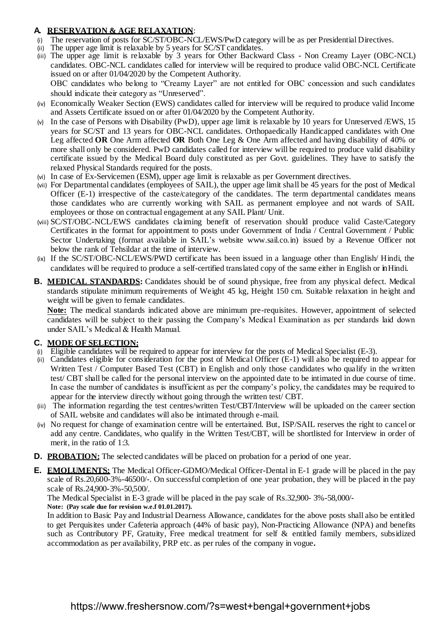# **A. RESERVATION & AGE RELAXATION**:

- (i) The reservation of posts for SC/ST/OBC-NCL/EWS/PwD category will be as per Presidential Directives.
- (ii) The upper age limit is relaxable by 5 years for SC/ST candidates.
- (iii) The upper age limit is relaxable by 3 years for Other Backward Class Non Creamy Layer (OBC-NCL) candidates. OBC-NCL candidates called for interview will be required to produce valid OBC-NCL Certificate issued on or after 01/04/2020 by the Competent Authority. OBC candidates who belong to "Creamy Layer" are not entitled for OBC concession and such candidates should indicate their category as "Unreserved".
- (iv) Economically Weaker Section (EWS) candidates called for interview will be required to produce valid Income and Assets Certificate issued on or after 01/04/2020 by the Competent Authority.
- (v) In the case of Persons with Disability (PwD), upper age limit is relaxable by 10 years for Unreserved /EWS, 15 years for SC/ST and 13 years for OBC-NCL candidates. Orthopaedically Handicapped candidates with One Leg affected **OR** One Arm affected **OR** Both One Leg & One Arm affected and having disability of 40% or more shall only be considered. PwD candidates called for interview will be required to produce valid disability certificate issued by the Medical Board duly constituted as per Govt. guidelines. They have to satisfy the relaxed Physical Standards required for the posts.
- (vi) In case of Ex-Servicemen (ESM), upper age limit is relaxable as per Government directives.
- (vii) For Departmental candidates (employees of SAIL), the upper age limit shall be 45 years for the post of Medical Officer (E-1) irrespective of the caste/category of the candidates. The term departmental candidates means those candidates who are currently working with SAIL as permanent employee and not wards of SAIL employees or those on contractual engagement at any SAIL Plant/ Unit.
- (viii) SC/ST/OBC-NCL/EWS candidates claiming benefit of reservation should produce valid Caste/Category Certificates in the format for appointment to posts under Government of India / Central Government / Public Sector Undertaking (format available in SAIL's website [www.sail.co.in\)](http://www.sail.co.in/) issued by a Revenue Officer not below the rank of Tehsildar at the time of interview.
- (ix) If the SC/ST/OBC-NCL/EWS/PWD certificate has been issued in a language other than English/ Hindi, the candidates will be required to produce a self-certified translated copy of the same either in English or inHindi.
- **B. MEDICAL STANDARDS:** Candidates should be of sound physique, free from any physical defect. Medical standards stipulate minimum requirements of Weight 45 kg, Height 150 cm. Suitable relaxation in height and weight will be given to female candidates.

**Note:** The medical standards indicated above are minimum pre-requisites. However, appointment of selected candidates will be subject to their passing the Company's Medical Examination as per standards laid down under SAIL's Medical & Health Manual.

# **C. MODE OF SELECTION:**

- (i) Eligible candidates will be required to appear for interview for the posts of Medical Specialist (E-3).
- (ii) Candidates eligible for consideration for the post of Medical Officer (E-1) will also be required to appear for Written Test / Computer Based Test (CBT) in English and only those candidates who qualify in the written test/ CBT shall be called for the personal interview on the appointed date to be intimated in due course of time. In case the number of candidates is insufficient as per the company's policy, the candidates may be required to appear for the interview directly without going through the written test/ CBT.
- (iii) The information regarding the test centres/written Test/CBT/Interview will be uploaded on the career section of SAIL website and candidates will also be intimated through e-mail.
- (iv) No request for change of examination centre will be entertained. But, ISP/SAIL reserves the right to cancel or add any centre. Candidates, who qualify in the Written Test/CBT, will be shortlisted for Interview in order of merit, in the ratio of 1:3.
- **D. PROBATION:** The selected candidates will be placed on probation for a period of one year.
- **E. EMOLUMENTS:** The Medical Officer-GDMO/Medical Officer-Dental in E-1 grade will be placed in the pay scale of Rs.20,600-3%-46500/-. On successful completion of one year probation, they will be placed in the pay scale of Rs.24,900-3%-50,500/.

The Medical Specialist in E-3 grade will be placed in the pay scale of Rs.32,900- 3%-58,000/- **Note: (Pay scale due for revision w.e.f 01.01.2017).**

In addition to Basic Pay and Industrial Dearness Allowance, candidates for the above posts shall also be entitled to get Perquisites under Cafeteria approach (44% of basic pay), Non-Practicing Allowance (NPA) and benefits such as Contributory PF, Gratuity, Free medical treatment for self & entitled family members, subsidized accommodation as per availability, PRP etc. as per rules of the company in vogue**.**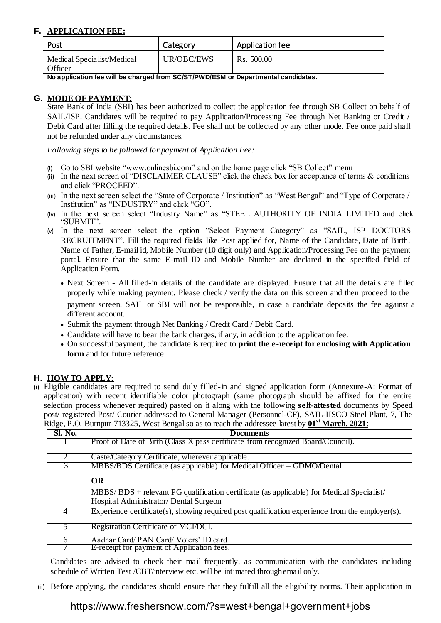# **F. APPLICATION FEE:**

| Post                                  | Category   | Application fee |
|---------------------------------------|------------|-----------------|
| Medical Specialist/Medical<br>Officer | UR/OBC/EWS | Rs. 500.00      |

**No application fee will be charged from SC/ST/PWD/ESM or Departmental candidates.**

# **G. MODE OF PAYMENT:**

State Bank of India (SBI) has been authorized to collect the application fee through SB Collect on behalf of SAIL/ISP. Candidates will be required to pay Application/Processing Fee through Net Banking or Credit / Debit Card after filling the required details. Fee shall not be collected by any other mode. Fee once paid shall not be refunded under any circumstances.

*Following steps to be followed for payment of Application Fee:*

- (i) Go to SBI website ["www.onlinesbi.com"](http://www.onlinesbi.com/) and on the home page click "SB Collect" menu
- (ii) In the next screen of "DISCLAIMER CLAUSE" click the check box for acceptance of terms & conditions and click "PROCEED".
- (iii) In the next screen select the "State of Corporate / Institution" as "West Bengal" and "Type of Corporate / Institution" as "INDUSTRY" and click "GO".
- (iv) In the next screen select "Industry Name" as "STEEL AUTHORITY OF INDIA LIMITED and click "SUBMIT".
- (v) In the next screen select the option "Select Payment Category" as "SAIL, ISP DOCTORS RECRUITMENT". Fill the required fields like Post applied for, Name of the Candidate, Date of Birth, Name of Father, E-mail id, Mobile Number (10 digit only) and Application/Processing Fee on the payment portal. Ensure that the same E-mail ID and Mobile Number are declared in the specified field of Application Form.
	- Next Screen All filled-in details of the candidate are displayed. Ensure that all the details are filled properly while making payment. Please check / verify the data on this screen and then proceed to the payment screen. SAIL or SBI will not be responsible, in case a candidate deposits the fee against a different account.
	- Submit the payment through Net Banking / Credit Card / Debit Card.
	- Candidate will have to bear the bank charges, if any, in addition to the application fee.
	- On successful payment, the candidate is required to **print the e-receipt for enclosing with Application form** and for future reference.

# **H. HOW TO APPLY:**

(i) Eligible candidates are required to send duly filled-in and signed application form (Annexure-A: Format of application) with recent identifiable color photograph (same photograph should be affixed for the entire selection process whenever required) pasted on it along with the following **self-attested** documents by Speed post/ registered Post/ Courier addressed to General Manager (Personnel-CF), SAIL-IISCO Steel Plant, 7, The Ridge, P.O. Burnpur-713325, West Bengal so as to reach the addressee latest by **01st March, 2021**:

| <b>Sl. No.</b> | <b>Documents</b>                                                                                |
|----------------|-------------------------------------------------------------------------------------------------|
|                | Proof of Date of Birth (Class X pass certificate from recognized Board/Council).                |
|                |                                                                                                 |
|                | Caste/Category Certificate, wherever applicable.                                                |
|                | MBBS/BDS Certificate (as applicable) for Medical Officer – GDMO/Dental                          |
|                | <b>OR</b>                                                                                       |
|                | $MBBS/ BDS +$ relevant PG qualification certificate (as applicable) for Medical Specialist/     |
|                | Hospital Administrator/ Dental Surgeon                                                          |
| 4              | Experience certificate(s), showing required post qualification experience from the employer(s). |
|                | Registration Certificate of MCI/DCI.                                                            |
| 6              | Aadhar Card/PAN Card/Voters' ID card                                                            |
|                | E-receipt for payment of Application fees.                                                      |

Candidates are advised to check their mail frequently, as communication with the candidates including schedule of Written Test /CBT/interview etc. will be intimated throughemail only.

(ii) Before applying, the candidates should ensure that they fulfill all the eligibility norms. Their application in

# https://www.freshersnow.com/?s=west+bengal+government+jobs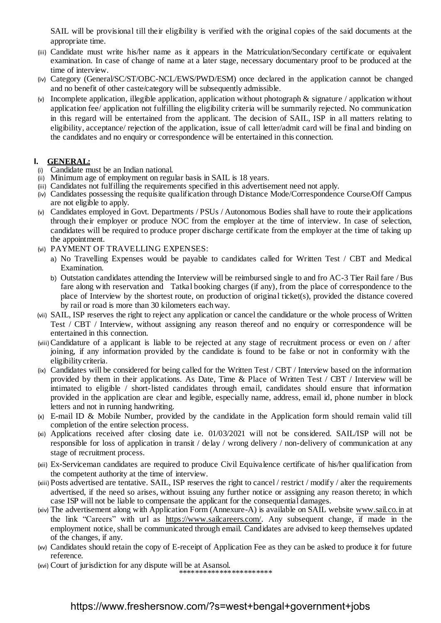SAIL will be provisional till their eligibility is verified with the original copies of the said documents at the appropriate time.

- (iii) Candidate must write his/her name as it appears in the Matriculation/Secondary certificate or equivalent examination. In case of change of name at a later stage, necessary documentary proof to be produced at the time of interview.
- (iv) Category (General/SC/ST/OBC-NCL/EWS/PWD/ESM) once declared in the application cannot be changed and no benefit of other caste/category will be subsequently admissible.
- (v) Incomplete application, illegible application, application without photograph  $\&$  signature / application without application fee/ application not fulfilling the eligibility criteria will be summarily rejected. No communication in this regard will be entertained from the applicant. The decision of SAIL, ISP in all matters relating to eligibility, acceptance/ rejection of the application, issue of call letter/admit card will be final and binding on the candidates and no enquiry or correspondence will be entertained in this connection.

## **I. GENERAL:**

- Candidate must be an Indian national.
- (ii) Minimum age of employment on regular basis in SAIL is 18 years.
- (iii) Candidates not fulfilling the requirements specified in this advertisement need not apply.
- (iv) Candidates possessing the requisite qualification through Distance Mode/Correspondence Course/Off Campus are not eligible to apply.
- (v) Candidates employed in Govt. Departments / PSUs / Autonomous Bodies shall have to route their applications through their employer or produce NOC from the employer at the time of interview. In case of selection, candidates will be required to produce proper discharge certificate from the employer at the time of taking up the appointment.
- (vi) PAYMENT OF TRAVELLING EXPENSES:
	- a) No Travelling Expenses would be payable to candidates called for Written Test / CBT and Medical Examination.
	- b) Outstation candidates attending the Interview will be reimbursed single to and fro AC-3 Tier Rail fare / Bus fare along with reservation and Tatkal booking charges (if any), from the place of correspondence to the place of Interview by the shortest route, on production of original ticket(s), provided the distance covered by rail or road is more than 30 kilometers eachway.
- (vii) SAIL, ISP reserves the right to reject any application or cancel the candidature or the whole process of Written Test / CBT / Interview, without assigning any reason thereof and no enquiry or correspondence will be entertained in this connection.
- (viii)Candidature of a applicant is liable to be rejected at any stage of recruitment process or even on / after joining, if any information provided by the candidate is found to be false or not in conformity with the eligibilitycriteria.
- (ix) Candidates will be considered for being called for the Written Test / CBT / Interview based on the information provided by them in their applications. As Date, Time & Place of Written Test / CBT / Interview will be intimated to eligible / short-listed candidates through email, candidates should ensure that information provided in the application are clear and legible, especially name, address, email id, phone number in block letters and not in running handwriting.
- (x) E-mail ID & Mobile Number, provided by the candidate in the Application form should remain valid till completion of the entire selection process.
- (xi) Applications received after closing date i.e. 01/03/2021 will not be considered. SAIL/ISP will not be responsible for loss of application in transit / delay / wrong delivery / non-delivery of communication at any stage of recruitment process.
- (xii) Ex-Serviceman candidates are required to produce Civil Equivalence certificate of his/her qualification from the competent authority at the time of interview.
- (xiii) Posts advertised are tentative. SAIL, ISP reserves the right to cancel / restrict / modify / alter the requirements advertised, if the need so arises, without issuing any further notice or assigning any reason thereto; in which case ISP will not be liable to compensate the applicant for the consequential damages.
- (xiv) The advertisement along with Application Form (Annexure-A) is available on SAIL websit[e www.sail.co.in](http://www.sail.co.in/) at the link "Careers" with url as [https://www.sailcareers.com/. A](http://sailcareers.com/)ny subsequent change, if made in the employment notice, shall be communicated through email. Candidates are advised to keep themselves updated of the changes, if any.
- (xv) Candidates should retain the copy of E-receipt of Application Fee as they can be asked to produce it for future reference.
- (xvi) Court of jurisdiction for any dispute will be at Asansol. \*\*\*\*\*\*\*\*\*\*\*\*\*\*\*\*\*\*\*\*\*\*\*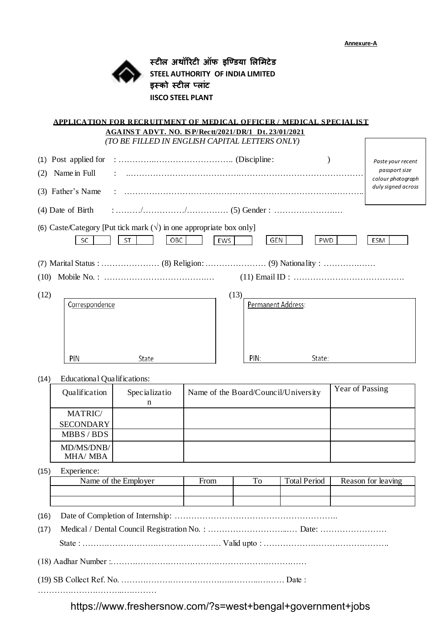

**स्टील अथॉरिटी ऑफ इण्डिया लललिटेि STEEL AUTHORITY OF INDIA LIMITED इस्को स्टील पलाांट IISCO STEEL PLANT**

|      |                                    |                    | <b>APPLICATION FOR RECRUITMENT OF MEDICAL OFFICER/MEDICAL SPECIALIST</b><br>AGAINST ADVT. NO. ISP/Rectt/2021/DR/1 Dt. 23/01/2021 |
|------|------------------------------------|--------------------|----------------------------------------------------------------------------------------------------------------------------------|
|      |                                    |                    | (TO BE FILLED IN ENGLISH CAPITAL LETTERS ONLY)                                                                                   |
| (2)  | Name in Full                       |                    | Paste your recent<br>passport size                                                                                               |
|      | (3) Father's Name                  |                    | colour photograph<br>duly signed across                                                                                          |
|      |                                    |                    | (4) Date of Birth $\cdots$ $\cdots$ $\cdots$ $\cdots$ $\cdots$ $\cdots$ $\cdots$ (5) Gender : $\cdots$ $\cdots$ $\cdots$         |
|      | SC                                 | OBC<br><b>ST</b>   | (6) Caste/Category [Put tick mark $(\sqrt{})$ in one appropriate box only]<br>EWS<br>GEN<br>PWD<br>ESM                           |
|      |                                    |                    |                                                                                                                                  |
| (10) |                                    |                    |                                                                                                                                  |
| (12) | Correspondence                     |                    | (13)<br>Permanent Address:                                                                                                       |
|      | PIN                                | State              | PIN:<br>State:                                                                                                                   |
| (14) | <b>Educational Qualifications:</b> |                    |                                                                                                                                  |
|      | Qualification                      | Specializatio<br>n | Year of Passing<br>Name of the Board/Council/University                                                                          |
|      | <b>MATRIC/</b>                     |                    |                                                                                                                                  |

| <b>SECONDARY</b>              |  |  |
|-------------------------------|--|--|
| MBBS/BDS                      |  |  |
| MD/MS/DNB/<br><b>MHA/ MBA</b> |  |  |

(15) Experience:

| Name of the Employer | From | <b>TT</b><br>ΙU | <b>Total Period</b> | Reason for leaving |
|----------------------|------|-----------------|---------------------|--------------------|
|                      |      |                 |                     |                    |
|                      |      |                 |                     |                    |

- (16) Date of Completion of Internship: …………………………………………………..
- (17) Medical / Dental Council Registration No. : ………………………...… Date: ……………………

State : …………………………………………… Valid upto : ……………………………………….

(18) Aadhar Number :………………………………………………………………

(19) SB Collect Ref. No. …………………………………..………..……… Date :

…………………………..…………

https://www.freshersnow.com/?s=west+bengal+government+jobs